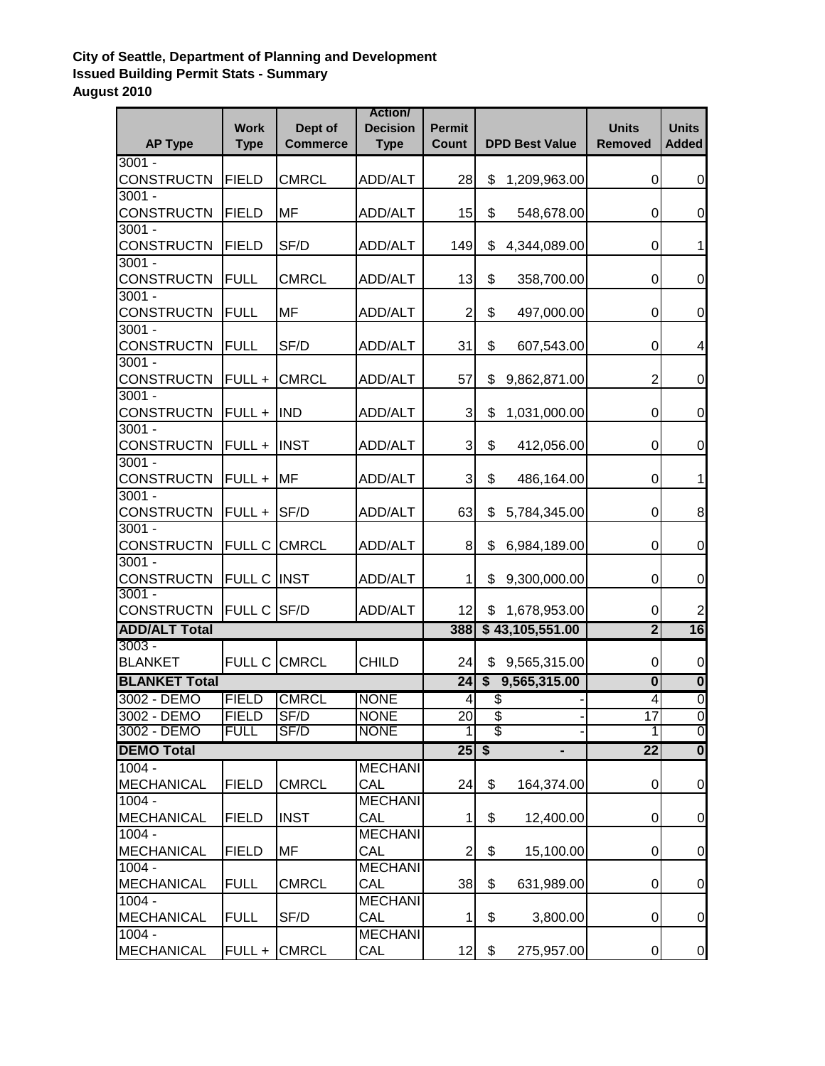## **City of Seattle, Department of Planning and Development Issued Building Permit Stats - Summary August 2010**

| <b>AP Type</b>       | <b>Work</b><br><b>Type</b> | Dept of<br><b>Commerce</b> | <b>Action</b><br><b>Decision</b><br><b>Type</b> | <b>Permit</b><br><b>Count</b> | <b>DPD Best Value</b>   |                 | <b>Units</b><br><b>Removed</b> | <b>Units</b><br><b>Added</b> |
|----------------------|----------------------------|----------------------------|-------------------------------------------------|-------------------------------|-------------------------|-----------------|--------------------------------|------------------------------|
| $3001 -$             |                            |                            |                                                 |                               |                         |                 |                                |                              |
| <b>CONSTRUCTN</b>    | <b>FIELD</b>               | <b>CMRCL</b>               | <b>ADD/ALT</b>                                  | 28                            | \$                      | 1,209,963.00    | 0                              | 0                            |
| $3001 -$             |                            |                            |                                                 |                               |                         |                 |                                |                              |
| <b>CONSTRUCTN</b>    | <b>FIELD</b>               | MF                         | <b>ADD/ALT</b>                                  | 15                            | \$                      | 548,678.00      | 0                              | $\mathbf 0$                  |
| $3001 -$             |                            |                            |                                                 |                               |                         |                 |                                |                              |
| <b>CONSTRUCTN</b>    | <b>FIELD</b>               | SF/D                       | <b>ADD/ALT</b>                                  | 149                           | \$                      | 4,344,089.00    | 0                              | $\mathbf 1$                  |
| $3001 -$             |                            |                            |                                                 |                               |                         |                 |                                |                              |
| <b>CONSTRUCTN</b>    | <b>FULL</b>                | <b>CMRCL</b>               | ADD/ALT                                         | 13                            | \$                      | 358,700.00      | 0                              | $\mathbf 0$                  |
| $3001 -$             |                            |                            |                                                 |                               |                         |                 |                                |                              |
| <b>CONSTRUCTN</b>    | <b>FULL</b>                | MF                         | <b>ADD/ALT</b>                                  | $\overline{2}$                | \$                      | 497,000.00      | 0                              | $\mathbf 0$                  |
| $3001 -$             |                            |                            |                                                 |                               |                         |                 |                                |                              |
| <b>CONSTRUCTN</b>    | <b>FULL</b>                | SF/D                       | <b>ADD/ALT</b>                                  | 31                            | \$                      | 607,543.00      | 0                              | 4                            |
| $3001 -$             |                            |                            |                                                 |                               |                         |                 |                                |                              |
| <b>CONSTRUCTN</b>    | FULL +                     | <b>CMRCL</b>               | <b>ADD/ALT</b>                                  | 57                            | \$                      | 9,862,871.00    | $\overline{c}$                 | $\pmb{0}$                    |
| $3001 -$             |                            |                            |                                                 |                               |                         |                 |                                |                              |
| <b>CONSTRUCTN</b>    | FULL +                     | <b>IND</b>                 | <b>ADD/ALT</b>                                  | 3                             | \$                      | 1,031,000.00    | 0                              | $\mathbf 0$                  |
| $3001 -$             |                            |                            |                                                 |                               |                         |                 |                                |                              |
| <b>CONSTRUCTN</b>    | FULL +                     | <b>INST</b>                | <b>ADD/ALT</b>                                  | 3                             | \$                      | 412,056.00      | 0                              | $\mathbf 0$                  |
| $3001 -$             |                            |                            |                                                 |                               |                         |                 |                                |                              |
| <b>CONSTRUCTN</b>    | FULL +                     | MF                         | <b>ADD/ALT</b>                                  | 3                             | \$                      | 486,164.00      | $\mathbf 0$                    | 1                            |
| $3001 -$             |                            |                            |                                                 |                               |                         |                 |                                |                              |
| <b>CONSTRUCTN</b>    | FULL +                     | SF/D                       | <b>ADD/ALT</b>                                  | 63                            | \$                      | 5,784,345.00    | $\mathbf 0$                    | 8                            |
| $3001 -$             |                            |                            |                                                 |                               |                         |                 |                                |                              |
| <b>CONSTRUCTN</b>    | <b>FULL C</b>              | <b>CMRCL</b>               | <b>ADD/ALT</b>                                  | 8                             | \$                      | 6,984,189.00    | 0                              | $\mathbf 0$                  |
| $3001 -$             |                            |                            |                                                 |                               |                         |                 |                                |                              |
| <b>CONSTRUCTN</b>    | <b>FULL C INST</b>         |                            | <b>ADD/ALT</b>                                  | 1                             | \$                      | 9,300,000.00    | 0                              | 0                            |
| $3001 -$             |                            |                            |                                                 | 12                            |                         |                 |                                |                              |
| <b>CONSTRUCTN</b>    | FULL C SF/D                |                            | <b>ADD/ALT</b>                                  |                               | \$                      | 1,678,953.00    | 0                              | $\overline{2}$               |
| <b>ADD/ALT Total</b> |                            |                            |                                                 | 388                           |                         | \$43,105,551.00 | $\overline{\mathbf{2}}$        | 16                           |
| $3003 -$             |                            |                            |                                                 |                               |                         |                 |                                |                              |
| <b>BLANKET</b>       | <b>FULL C</b>              | <b>CMRCL</b>               | <b>CHILD</b>                                    | 24                            | \$                      | 9,565,315.00    | 0                              | $\mathbf 0$                  |
| <b>BLANKET Total</b> |                            |                            |                                                 | 24                            | \$                      | 9,565,315.00    | $\boldsymbol{0}$               | $\overline{\mathbf{0}}$      |
| 3002 - DEMO          | <b>FIELD</b>               | <b>CMRCL</b>               | <b>NONE</b>                                     | 4                             | \$                      |                 | 4                              | $\overline{0}$               |
| 3002 - DEMO          | FIELD                      | SF/D                       | <b>NONE</b>                                     | 20                            | \$                      |                 | 17                             | $\overline{0}$               |
| 3002 - DEMO          | <b>FULL</b>                | SF/D                       | <b>NONE</b>                                     |                               | $\overline{\mathbb{S}}$ |                 |                                | $\overline{0}$               |
| <b>DEMO Total</b>    |                            |                            |                                                 | $25 \, \sqrt{5}$              |                         |                 | $\overline{22}$                | $\overline{\mathbf{0}}$      |
| $1004 -$             |                            |                            | <b>MECHANI</b>                                  |                               |                         |                 |                                |                              |
| <b>MECHANICAL</b>    | <b>FIELD</b>               | <b>CMRCL</b>               | CAL                                             | 24                            | \$                      | 164,374.00      | $\pmb{0}$                      | $\pmb{0}$                    |
| $1004 -$             |                            |                            | <b>MECHANI</b>                                  |                               |                         |                 |                                |                              |
| <b>MECHANICAL</b>    | <b>FIELD</b>               | <b>INST</b>                | CAL                                             | 1                             | \$                      | 12,400.00       | $\pmb{0}$                      | $\boldsymbol{0}$             |
| $1004 -$             |                            |                            | <b>MECHANI</b>                                  |                               |                         |                 |                                |                              |
| MECHANICAL           | <b>FIELD</b>               | MF                         | CAL                                             | $\overline{2}$                | \$                      | 15,100.00       | $\pmb{0}$                      | $\boldsymbol{0}$             |
| $1004 -$             |                            |                            | <b>MECHANI</b>                                  |                               |                         |                 |                                |                              |
| <b>MECHANICAL</b>    | <b>FULL</b>                | <b>CMRCL</b>               | CAL                                             | 38                            | \$                      | 631,989.00      | $\pmb{0}$                      | $\boldsymbol{0}$             |
| $1004 -$             |                            |                            | <b>MECHANI</b>                                  |                               |                         |                 |                                |                              |
| <b>MECHANICAL</b>    | <b>FULL</b>                | SF/D                       | CAL                                             | 1                             | \$                      | 3,800.00        | 0                              | $\boldsymbol{0}$             |
| $1004 -$             |                            |                            | <b>MECHANI</b>                                  |                               |                         |                 |                                |                              |
| <b>MECHANICAL</b>    | $FULL +$                   | <b>CMRCL</b>               | CAL                                             | 12                            | \$                      | 275,957.00      | $\pmb{0}$                      | $\overline{0}$               |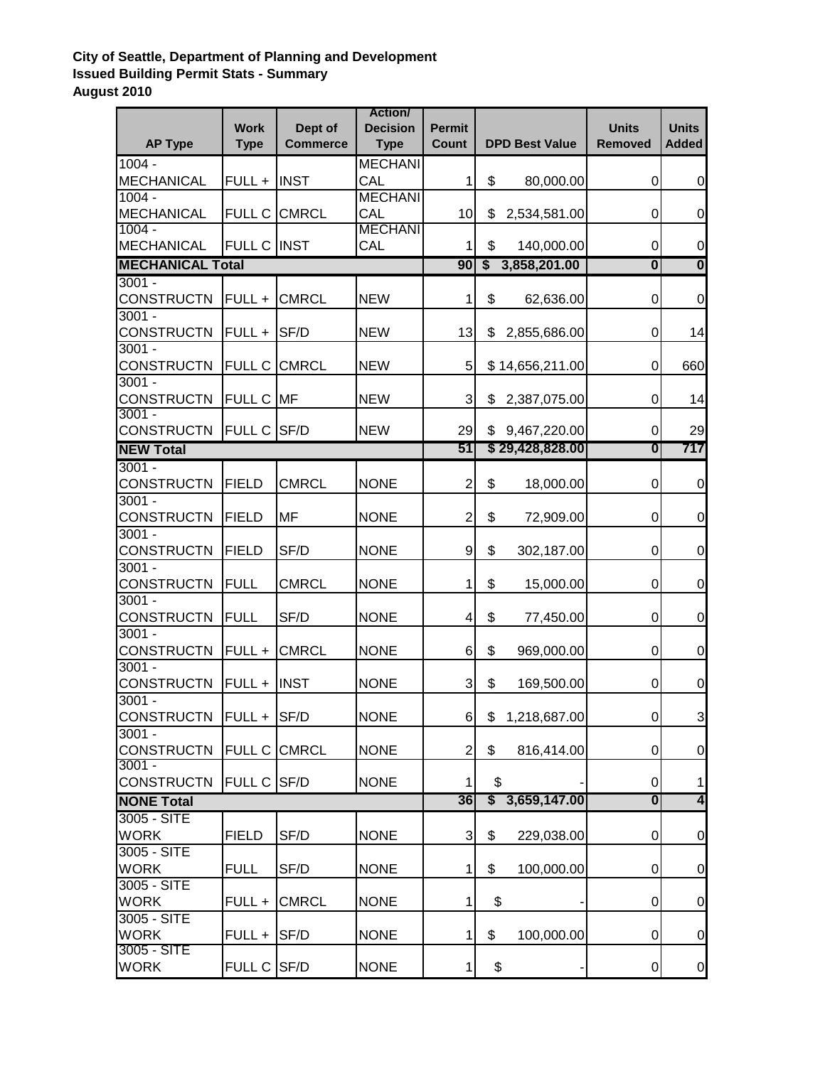## **City of Seattle, Department of Planning and Development Issued Building Permit Stats - Summary August 2010**

| <b>AP Type</b>             | <b>Work</b><br><b>Type</b> | Dept of<br><b>Commerce</b> | <b>Action</b><br><b>Decision</b><br><b>Type</b> | <b>Permit</b><br><b>Count</b> | <b>DPD Best Value</b>   |                  | <b>Units</b><br><b>Removed</b> | <b>Units</b><br><b>Added</b> |
|----------------------------|----------------------------|----------------------------|-------------------------------------------------|-------------------------------|-------------------------|------------------|--------------------------------|------------------------------|
| $1004 -$                   |                            |                            | <b>MECHANI</b>                                  |                               |                         |                  |                                |                              |
| MECHANICAL                 | <b>FULL + INST</b>         |                            | CAL                                             | 1                             | \$                      | 80,000.00        | 0                              | $\boldsymbol{0}$             |
| $1004 -$                   |                            |                            | <b>MECHANI</b>                                  |                               |                         |                  |                                |                              |
| MECHANICAL                 | <b>FULL C CMRCL</b>        |                            | CAL                                             | 10                            | \$                      | 2,534,581.00     | $\pmb{0}$                      | $\mathbf 0$                  |
| $1004 -$                   |                            |                            | <b>MECHANI</b>                                  |                               |                         |                  |                                |                              |
| <b>MECHANICAL</b>          | <b>FULL C INST</b>         |                            | CAL                                             | 1                             | \$                      | 140,000.00       | $\pmb{0}$                      | $\pmb{0}$                    |
| <b>MECHANICAL Total</b>    |                            |                            |                                                 | 90                            | $\sqrt[6]{\frac{1}{2}}$ | 3,858,201.00     | 0                              | $\overline{\mathbf{0}}$      |
| $3001 -$                   |                            |                            |                                                 |                               |                         |                  |                                |                              |
| <b>CONSTRUCTN</b>          | <b>FULL + CMRCL</b>        |                            | <b>NEW</b>                                      | 1                             | \$                      | 62,636.00        | 0                              | $\mathbf 0$                  |
| $3001 -$                   |                            |                            |                                                 |                               |                         |                  |                                |                              |
| <b>CONSTRUCTN</b>          | $FULL +$                   | SF/D                       | <b>NEW</b>                                      | 13                            | \$                      | 2,855,686.00     | 0                              | 14                           |
| $3001 -$                   |                            |                            |                                                 |                               |                         |                  |                                |                              |
| <b>CONSTRUCTN</b>          | <b>FULL C</b>              | <b>CMRCL</b>               | <b>NEW</b>                                      | 5                             |                         | \$14,656,211.00  | $\mathbf 0$                    | 660                          |
| $3001 -$                   |                            |                            |                                                 |                               |                         |                  |                                |                              |
| <b>CONSTRUCTN</b>          | <b>FULL C MF</b>           |                            | <b>NEW</b>                                      | 3                             | \$                      | 2,387,075.00     | $\pmb{0}$                      | 14                           |
| $3001 -$                   |                            |                            |                                                 |                               |                         |                  |                                |                              |
| <b>CONSTRUCTN</b>          | <b>FULL C SF/D</b>         |                            | <b>NEW</b>                                      | 29                            |                         | \$9,467,220.00   | $\mathbf 0$                    | 29                           |
| <b>NEW Total</b>           |                            |                            |                                                 | 51                            |                         | \$29,428,828.00  | 0                              | 717                          |
| $3001 -$                   |                            |                            |                                                 |                               |                         |                  |                                |                              |
| <b>CONSTRUCTN</b>          | <b>FIELD</b>               | <b>CMRCL</b>               | <b>NONE</b>                                     | $\overline{2}$                | \$                      | 18,000.00        | $\pmb{0}$                      | $\mathbf 0$                  |
| $3001 -$                   |                            |                            |                                                 |                               |                         |                  |                                |                              |
| <b>CONSTRUCTN</b>          | <b>FIELD</b>               | MF                         | <b>NONE</b>                                     | $\overline{2}$                | \$                      | 72,909.00        | 0                              | 0                            |
| $3001 -$                   |                            |                            |                                                 |                               |                         |                  |                                |                              |
| <b>CONSTRUCTN</b>          | <b>FIELD</b>               | SF/D                       | <b>NONE</b>                                     | 9                             | \$                      | 302,187.00       | 0                              | 0                            |
| $3001 -$                   |                            |                            |                                                 |                               |                         |                  |                                |                              |
| <b>CONSTRUCTN</b>          | <b>FULL</b>                | <b>CMRCL</b>               | <b>NONE</b>                                     | 1                             | \$                      | 15,000.00        | 0                              | $\boldsymbol{0}$             |
| $3001 -$                   |                            |                            |                                                 |                               |                         |                  |                                |                              |
| <b>CONSTRUCTN</b>          | FULL                       | SF/D                       | <b>NONE</b>                                     | $\overline{4}$                | \$                      | 77,450.00        | 0                              | $\boldsymbol{0}$             |
| $3001 -$                   |                            |                            |                                                 |                               |                         |                  |                                |                              |
| <b>CONSTRUCTN</b>          | $FULL +$                   | <b>CMRCL</b>               | <b>NONE</b>                                     | 6                             | \$                      | 969,000.00       | 0                              | $\mathbf 0$                  |
| $3001 -$                   |                            |                            |                                                 |                               |                         |                  |                                |                              |
| <b>CONSTRUCTN</b>          | <b>FULL + INST</b>         |                            | <b>NONE</b>                                     | 3                             | \$                      | 169,500.00       | 0                              | $\mathbf 0$                  |
| $3001 -$                   |                            |                            |                                                 |                               |                         |                  |                                |                              |
| <b>CONSTRUCTN</b>          | $FULL + SF/D$              |                            | <b>NONE</b>                                     | 6                             | \$                      | 1,218,687.00     | $\overline{0}$                 | 3                            |
| $3001 -$                   |                            |                            |                                                 |                               |                         |                  |                                |                              |
| <b>CONSTRUCTN</b>          | FULL C CMRCL               |                            | <b>NONE</b>                                     | $\overline{2}$                | \$                      | 816,414.00       | $\overline{0}$                 | $\boldsymbol{0}$             |
| $3001 -$                   |                            |                            | <b>NONE</b>                                     |                               |                         |                  |                                |                              |
| <b>CONSTRUCTN</b>          | <b>FULL C SF/D</b>         |                            |                                                 | 1<br>36                       | \$<br>S                 |                  | $\pmb{0}$                      | 1<br>4                       |
| <b>NONE Total</b>          |                            |                            |                                                 |                               | 3,659,147.00            | $\boldsymbol{0}$ |                                |                              |
| 3005 - SITE                |                            |                            |                                                 |                               |                         |                  |                                |                              |
| <b>WORK</b>                | <b>FIELD</b>               | SF/D                       | <b>NONE</b>                                     | $\ensuremath{\mathsf{3}}$     | \$                      | 229,038.00       | $\pmb{0}$                      | $\pmb{0}$                    |
| 3005 - SITE                |                            |                            |                                                 |                               |                         |                  |                                |                              |
| <b>WORK</b>                | <b>FULL</b>                | SF/D                       | <b>NONE</b>                                     | 1                             | \$                      | 100,000.00       | 0                              | $\mathbf 0$                  |
| 3005 - SITE                |                            |                            |                                                 |                               |                         |                  |                                |                              |
| <b>WORK</b>                | FULL +                     | <b>CMRCL</b>               | <b>NONE</b>                                     | 1                             | \$                      |                  | 0                              | 0                            |
| 3005 - SITE<br><b>WORK</b> |                            |                            |                                                 |                               |                         |                  |                                |                              |
| 3005 - SITE                | $FULL +  SF/D$             |                            | <b>NONE</b>                                     | 1                             | \$                      | 100,000.00       | $\pmb{0}$                      | 0                            |
| <b>WORK</b>                | FULL C SF/D                |                            | <b>NONE</b>                                     | 1                             |                         | \$               | $\pmb{0}$                      | $\pmb{0}$                    |